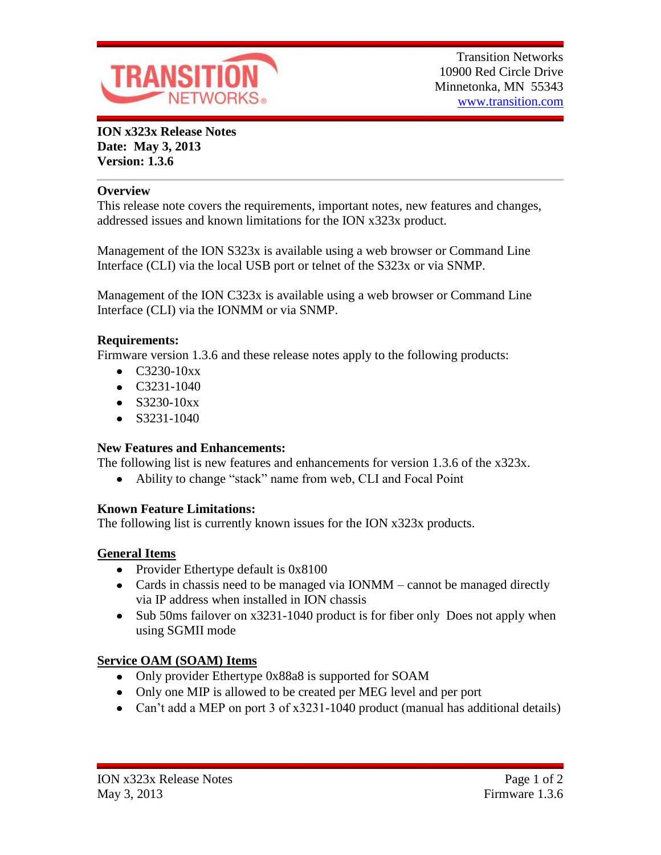

**ION x323x Release Notes Date: May 3, 2013 Version: 1.3.6**

#### **Overview**

This release note covers the requirements, important notes, new features and changes, addressed issues and known limitations for the ION x323x product.

Management of the ION S323x is available using a web browser or Command Line Interface (CLI) via the local USB port or telnet of the S323x or via SNMP.

Management of the ION C323x is available using a web browser or Command Line Interface (CLI) via the IONMM or via SNMP.

#### **Requirements:**

Firmware version 1.3.6 and these release notes apply to the following products:

- $\bullet$  C3230-10xx
- $\bullet$  C3231-1040
- $\bullet$  S3230-10xx
- $\bullet$  S3231-1040

### **New Features and Enhancements:**

The following list is new features and enhancements for version 1.3.6 of the x323x.

Ability to change "stack" name from web, CLI and Focal Point  $\bullet$ 

### **Known Feature Limitations:**

The following list is currently known issues for the ION x323x products.

### **General Items**

- Provider Ethertype default is 0x8100
- Cards in chassis need to be managed via IONMM cannot be managed directly via IP address when installed in ION chassis
- Sub 50ms failover on x3231-1040 product is for fiber only Does not apply when using SGMII mode

## **Service OAM (SOAM) Items**

- Only provider Ethertype 0x88a8 is supported for SOAM
- Only one MIP is allowed to be created per MEG level and per port
- Can't add a MEP on port 3 of x3231-1040 product (manual has additional details)